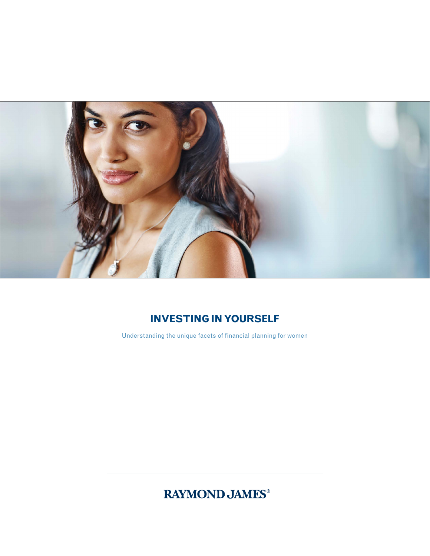

## **Investing in Yourself**

Understanding the unique facets of financial planning for women

**RAYMOND JAMES®**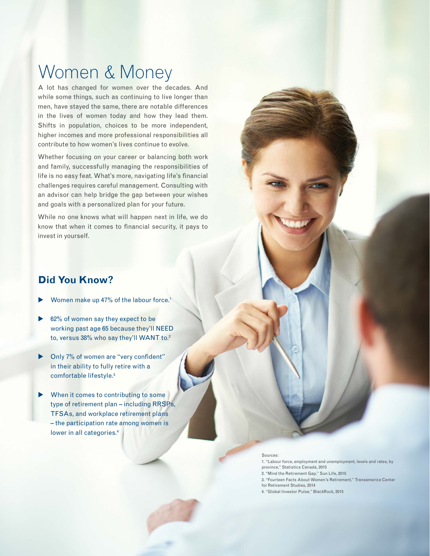# Women & Money

A lot has changed for women over the decades. And while some things, such as continuing to live longer than men, have stayed the same, there are notable differences in the lives of women today and how they lead them. Shifts in population, choices to be more independent, higher incomes and more professional responsibilities all contribute to how women's lives continue to evolve.

Whether focusing on your career or balancing both work and family, successfully managing the responsibilities of life is no easy feat. What's more, navigating life's financial challenges requires careful management. Consulting with an advisor can help bridge the gap between your wishes and goals with a personalized plan for your future.

While no one knows what will happen next in life, we do know that when it comes to financial security, it pays to invest in yourself.

### **Did You Know?**

- Women make up 47% of the labour force.<sup>1</sup>
- $62\%$  of women say they expect to be working past age 65 because they'll NEED to, versus 38% who say they'll WANT to. $2$
- $\triangleright$  Only 7% of women are "very confident" in their ability to fully retire with a comfortable lifestyle.3
- When it comes to contributing to some type of retirement plan – including RRSPs, TFSAs, and workplace retirement plans – the participation rate among women is lower in all categories.<sup>4</sup>

#### Sources:

1. "Labour force, employment and unemployment, levels and rates, by province," Statistics Canada, 2015 2. "Mind the Retirement Gap," Sun Life, 2015 3. "Fourteen Facts About Women's Retirement," Transamerica Center for Retirement Studies, 2014 4. "Global Investor Pulse," BlackRock, 2015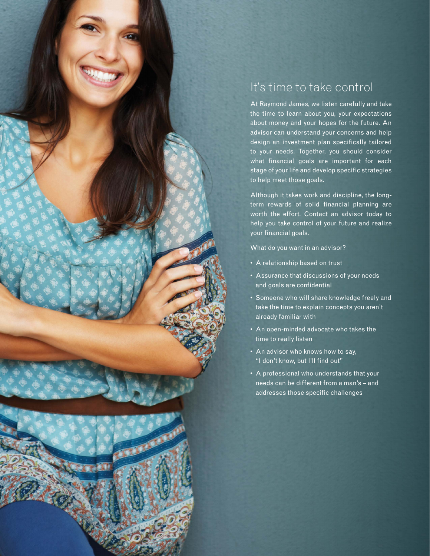

# It's time to take control

At Raymond James, we listen carefully and take the time to learn about you, your expectations about money and your hopes for the future. An advisor can understand your concerns and help design an investment plan specifically tailored to your needs. Together, you should consider what financial goals are important for each stage of your life and develop specific strategies to help meet those goals.

Although it takes work and discipline, the longterm rewards of solid financial planning are worth the effort. Contact an advisor today to help you take control of your future and realize your financial goals.

What do you want in an advisor?

- A relationship based on trust
- Assurance that discussions of your needs and goals are confidential
- Someone who will share knowledge freely and take the time to explain concepts you aren't already familiar with
- An open-minded advocate who takes the time to really listen
- An advisor who knows how to say, "I don't know, but I'll find out"
- A professional who understands that your needs can be different from a man's – and addresses those specific challenges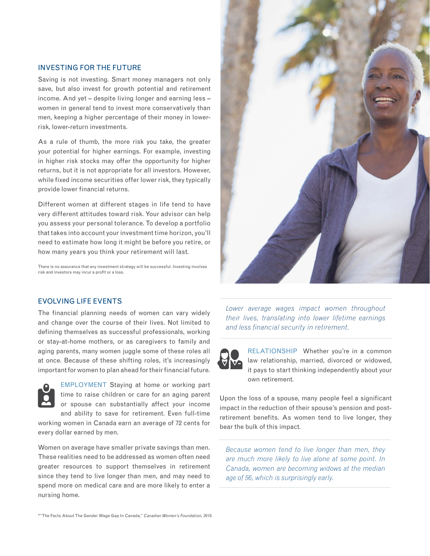#### Investing for the future

Saving is not investing. Smart money managers not only save, but also invest for growth potential and retirement income. And yet – despite living longer and earning less – women in general tend to invest more conservatively than men, keeping a higher percentage of their money in lowerrisk, lower-return investments.

As a rule of thumb, the more risk you take, the greater your potential for higher earnings. For example, investing in higher risk stocks may offer the opportunity for higher returns, but it is not appropriate for all investors. However, while fixed income securities offer lower risk, they typically provide lower financial returns.

Different women at different stages in life tend to have very different attitudes toward risk. Your advisor can help you assess your personal tolerance. To develop a portfolio that takes into account your investment time horizon, you'll need to estimate how long it might be before you retire, or how many years you think your retirement will last.

There is no assurance that any investment strategy will be successful. Investing involves risk and investors may incur a profit or a loss.



#### Evolving life events

The financial planning needs of women can vary widely and change over the course of their lives. Not limited to defining themselves as successful professionals, working or stay-at-home mothers, or as caregivers to family and aging parents, many women juggle some of these roles all at once. Because of these shifting roles, it's increasingly important for women to plan ahead for their financial future.



EMPLOYMENT Staying at home or working part time to raise children or care for an aging parent or spouse can substantially affect your income and ability to save for retirement. Even full-time

working women in Canada earn an average of 72 cents for every dollar earned by men.

Women on average have smaller private savings than men. These realities need to be addressed as women often need greater resources to support themselves in retirement since they tend to live longer than men, and may need to spend more on medical care and are more likely to enter a nursing home.

*Lower average wages impact women throughout their lives, translating into lower lifetime earnings and less financial security in retirement.*



RELATIONSHIP Whether you're in a common law relationship, married, divorced or widowed, it pays to start thinking independently about your own retirement.

Upon the loss of a spouse, many people feel a significant impact in the reduction of their spouse's pension and postretirement benefits. As women tend to live longer, they bear the bulk of this impact.

*Because women tend to live longer than men, they are much more likely to live alone at some point. In Canada, women are becoming widows at the median age of 56, which is surprisingly early.*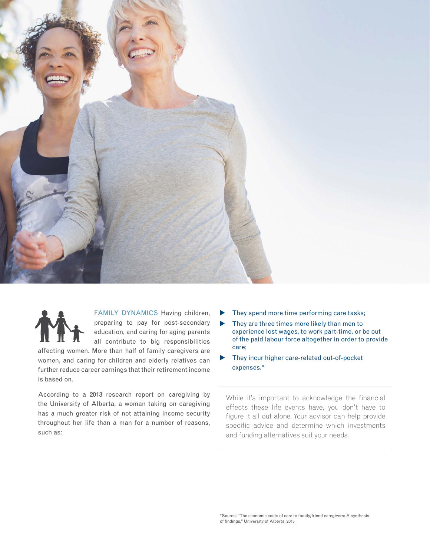



Family Dynamics Having children, preparing to pay for post-secondary education, and caring for aging parents all contribute to big responsibilities

affecting women. More than half of family caregivers are women, and caring for children and elderly relatives can further reduce career earnings that their retirement income is based on.

According to a 2013 research report on caregiving by the University of Alberta, a woman taking on caregiving has a much greater risk of not attaining income security throughout her life than a man for a number of reasons, such as:

- They spend more time performing care tasks;
- $\blacktriangleright$  They are three times more likely than men to experience lost wages, to work part-time, or be out of the paid labour force altogether in order to provide care;
- They incur higher care-related out-of-pocket expenses.\*

While it's important to acknowledge the financial effects these life events have, you don't have to figure it all out alone. Your advisor can help provide specific advice and determine which investments and funding alternatives suit your needs.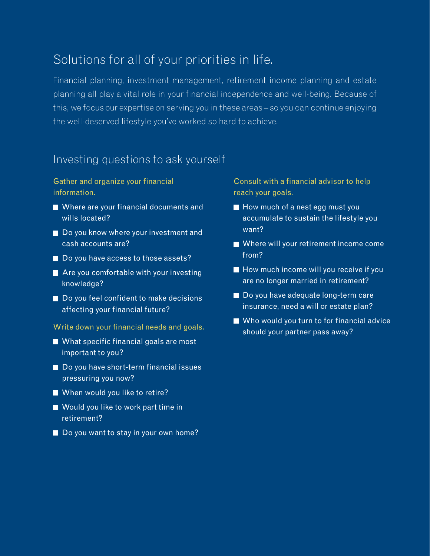# Solutions for all of your priorities in life.

Financial planning, investment management, retirement income planning and estate planning all play a vital role in your financial independence and well-being. Because of this, we focus our expertise on serving you in these areas – so you can continue enjoying the well-deserved lifestyle you've worked so hard to achieve.

### Investing questions to ask yourself

Gather and organize your financial information.

- Where are your financial documents and wills located?
- Do you know where your investment and cash accounts are?
- Do you have access to those assets?
- Are you comfortable with your investing knowledge?
- Do you feel confident to make decisions affecting your financial future?
- Write down your financial needs and goals.
- What specific financial goals are most important to you?
- Do you have short-term financial issues pressuring you now?
- When would you like to retire?
- Would you like to work part time in retirement?
- Do you want to stay in your own home?

Consult with a financial advisor to help reach your goals.

- $\blacksquare$  How much of a nest egg must you accumulate to sustain the lifestyle you want?
- Where will your retirement income come from?
- How much income will you receive if you are no longer married in retirement?
- Do you have adequate long-term care insurance, need a will or estate plan?
- Who would you turn to for financial advice should your partner pass away?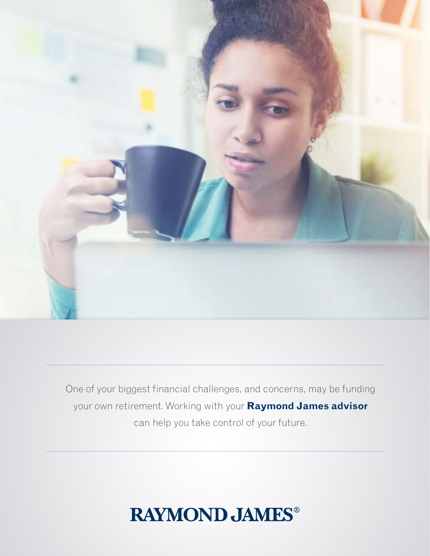

One of your biggest financial challenges, and concerns, may be funding your own retirement. Working with your **Raymond James advisor** can help you take control of your future.

# **RAYMOND JAMES®**